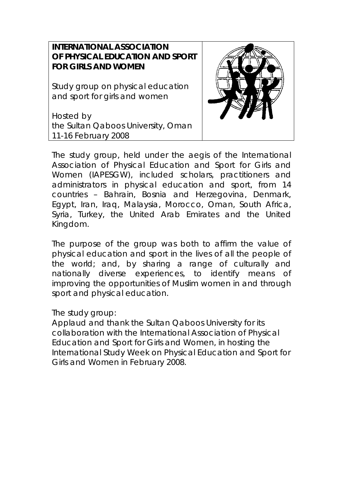## **INTERNATIONAL ASSOCIATION OF PHYSICAL EDUCATION AND SPORT FOR GIRLS AND WOMEN**

Study group on physical education and sport for girls and women

Hosted by the Sultan Qaboos University, Oman 11-16 February 2008



The study group, held under the aegis of the International Association of Physical Education and Sport for Girls and Women (IAPESGW), included scholars, practitioners and administrators in physical education and sport, from 14 countries – Bahrain, Bosnia and Herzegovina, Denmark, Egypt, Iran, Iraq, Malaysia, Morocco, Oman, South Africa, Syria, Turkey, the United Arab Emirates and the United Kingdom.

The purpose of the group was both to affirm the value of physical education and sport in the lives of all the people of the world; and, by sharing a range of culturally and nationally diverse experiences, to identify means of improving the opportunities of Muslim women in and through sport and physical education.

The study group:

Applaud and thank the Sultan Qaboos University for its collaboration with the International Association of Physical Education and Sport for Girls and Women, in hosting the International Study Week on Physical Education and Sport for Girls and Women in February 2008.